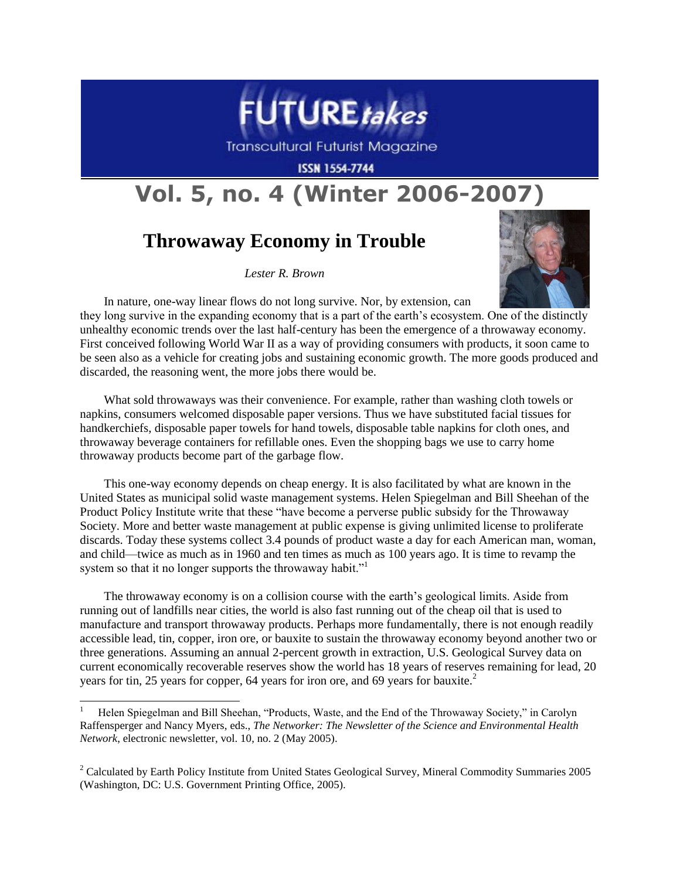

**Transcultural Futurist Magazine** 

**ISSN 1554-7744** 

## **Vol. 5, no. 4 (Winter 2006-2007)**

## **Throwaway Economy in Trouble**

*Lester R. Brown*



In nature, one-way linear flows do not long survive. Nor, by extension, can they long survive in the expanding economy that is a part of the earth's ecosystem. One of the distinctly unhealthy economic trends over the last half-century has been the emergence of a throwaway economy. First conceived following World War II as a way of providing consumers with products, it soon came to be seen also as a vehicle for creating jobs and sustaining economic growth. The more goods produced and discarded, the reasoning went, the more jobs there would be.

What sold throwaways was their convenience. For example, rather than washing cloth towels or napkins, consumers welcomed disposable paper versions. Thus we have substituted facial tissues for handkerchiefs, disposable paper towels for hand towels, disposable table napkins for cloth ones, and throwaway beverage containers for refillable ones. Even the shopping bags we use to carry home throwaway products become part of the garbage flow.

This one-way economy depends on cheap energy. It is also facilitated by what are known in the United States as municipal solid waste management systems. Helen Spiegelman and Bill Sheehan of the Product Policy Institute write that these "have become a perverse public subsidy for the Throwaway Society. More and better waste management at public expense is giving unlimited license to proliferate discards. Today these systems collect 3.4 pounds of product waste a day for each American man, woman, and child—twice as much as in 1960 and ten times as much as 100 years ago. It is time to revamp the system so that it no longer supports the throwaway habit."<sup>1</sup>

The throwaway economy is on a collision course with the earth's geological limits. Aside from running out of landfills near cities, the world is also fast running out of the cheap oil that is used to manufacture and transport throwaway products. Perhaps more fundamentally, there is not enough readily accessible lead, tin, copper, iron ore, or bauxite to sustain the throwaway economy beyond another two or three generations. Assuming an annual 2-percent growth in extraction, U.S. Geological Survey data on current economically recoverable reserves show the world has 18 years of reserves remaining for lead, 20 years for tin, 25 years for copper, 64 years for iron ore, and 69 years for bauxite.<sup>2</sup>

 $\overline{\phantom{a}}$ 

Helen Spiegelman and Bill Sheehan, "Products, Waste, and the End of the Throwaway Society," in Carolyn Raffensperger and Nancy Myers, eds., *The Networker: The Newsletter of the Science and Environmental Health Network*, electronic newsletter, vol. 10, no. 2 (May 2005).

<sup>&</sup>lt;sup>2</sup> Calculated by Earth Policy Institute from United States Geological Survey, Mineral Commodity Summaries 2005 (Washington, DC: U.S. Government Printing Office, 2005).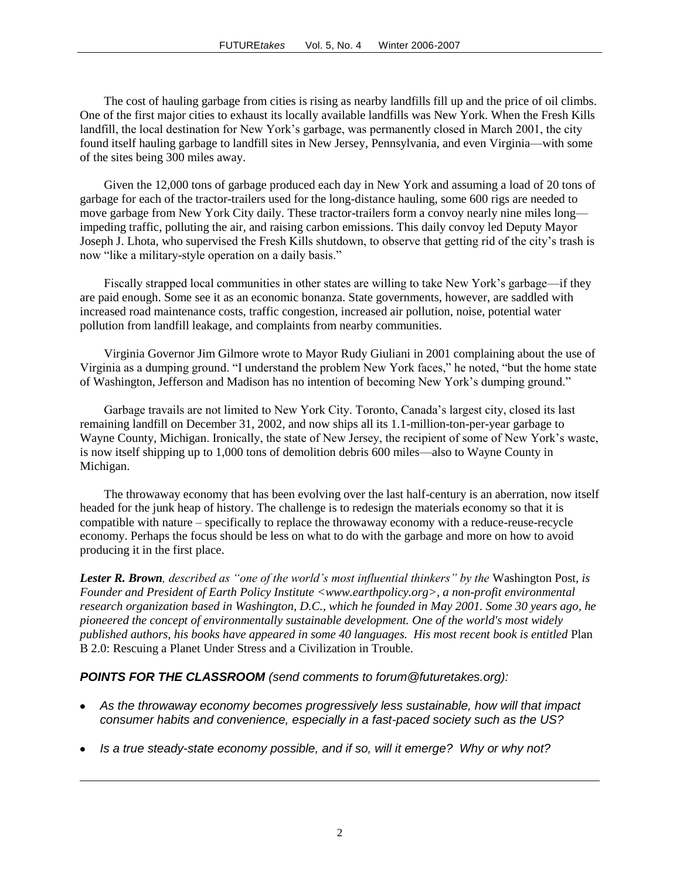The cost of hauling garbage from cities is rising as nearby landfills fill up and the price of oil climbs. One of the first major cities to exhaust its locally available landfills was New York. When the Fresh Kills landfill, the local destination for New York's garbage, was permanently closed in March 2001, the city found itself hauling garbage to landfill sites in New Jersey, Pennsylvania, and even Virginia—with some of the sites being 300 miles away.

Given the 12,000 tons of garbage produced each day in New York and assuming a load of 20 tons of garbage for each of the tractor-trailers used for the long-distance hauling, some 600 rigs are needed to move garbage from New York City daily. These tractor-trailers form a convoy nearly nine miles long impeding traffic, polluting the air, and raising carbon emissions. This daily convoy led Deputy Mayor Joseph J. Lhota, who supervised the Fresh Kills shutdown, to observe that getting rid of the city's trash is now "like a military-style operation on a daily basis."

Fiscally strapped local communities in other states are willing to take New York's garbage—if they are paid enough. Some see it as an economic bonanza. State governments, however, are saddled with increased road maintenance costs, traffic congestion, increased air pollution, noise, potential water pollution from landfill leakage, and complaints from nearby communities.

Virginia Governor Jim Gilmore wrote to Mayor Rudy Giuliani in 2001 complaining about the use of Virginia as a dumping ground. "I understand the problem New York faces," he noted, "but the home state of Washington, Jefferson and Madison has no intention of becoming New York's dumping ground."

Garbage travails are not limited to New York City. Toronto, Canada's largest city, closed its last remaining landfill on December 31, 2002, and now ships all its 1.1-million-ton-per-year garbage to Wayne County, Michigan. Ironically, the state of New Jersey, the recipient of some of New York's waste, is now itself shipping up to 1,000 tons of demolition debris 600 miles—also to Wayne County in Michigan.

The throwaway economy that has been evolving over the last half-century is an aberration, now itself headed for the junk heap of history. The challenge is to redesign the materials economy so that it is compatible with nature – specifically to replace the throwaway economy with a reduce-reuse-recycle economy. Perhaps the focus should be less on what to do with the garbage and more on how to avoid producing it in the first place.

*Lester R. Brown, described as "one of the world's most influential thinkers" by the* Washington Post*, is Founder and President of Earth Policy Institute <www.earthpolicy.org>, a non-profit environmental research organization based in Washington, D.C., which he founded in May 2001. Some 30 years ago, he pioneered the concept of environmentally sustainable development. One of the world's most widely published authors, his books have appeared in some 40 languages. His most recent book is entitled* Plan B 2.0: Rescuing a Planet Under Stress and a Civilization in Trouble*.* 

## *POINTS FOR THE CLASSROOM (send comments to forum@futuretakes.org):*

l

- *As the throwaway economy becomes progressively less sustainable, how will that impact consumer habits and convenience, especially in a fast-paced society such as the US?*
- *Is a true steady-state economy possible, and if so, will it emerge? Why or why not?*